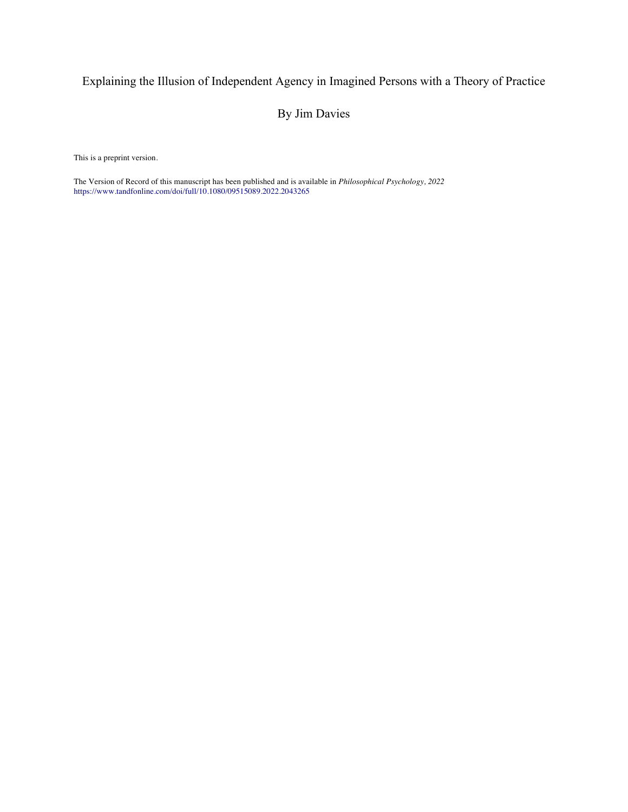# Explaining the Illusion of Independent Agency in Imagined Persons with a Theory of Practice

## By Jim Davies

This is a preprint version.

The Version of Record of this manuscript has been published and is available in *Philosophical Psychology, 2022* https://www.tandfonline.com/doi/full/10.1080/09515089.2022.2043265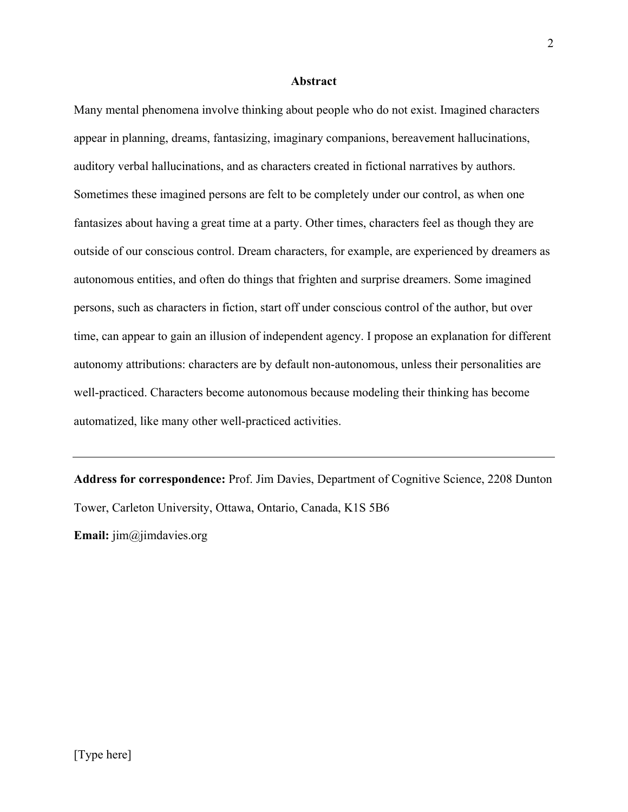## **Abstract**

Many mental phenomena involve thinking about people who do not exist. Imagined characters appear in planning, dreams, fantasizing, imaginary companions, bereavement hallucinations, auditory verbal hallucinations, and as characters created in fictional narratives by authors. Sometimes these imagined persons are felt to be completely under our control, as when one fantasizes about having a great time at a party. Other times, characters feel as though they are outside of our conscious control. Dream characters, for example, are experienced by dreamers as autonomous entities, and often do things that frighten and surprise dreamers. Some imagined persons, such as characters in fiction, start off under conscious control of the author, but over time, can appear to gain an illusion of independent agency. I propose an explanation for different autonomy attributions: characters are by default non-autonomous, unless their personalities are well-practiced. Characters become autonomous because modeling their thinking has become automatized, like many other well-practiced activities.

**Address for correspondence:** Prof. Jim Davies, Department of Cognitive Science, 2208 Dunton Tower, Carleton University, Ottawa, Ontario, Canada, K1S 5B6 **Email:** jim@jimdavies.org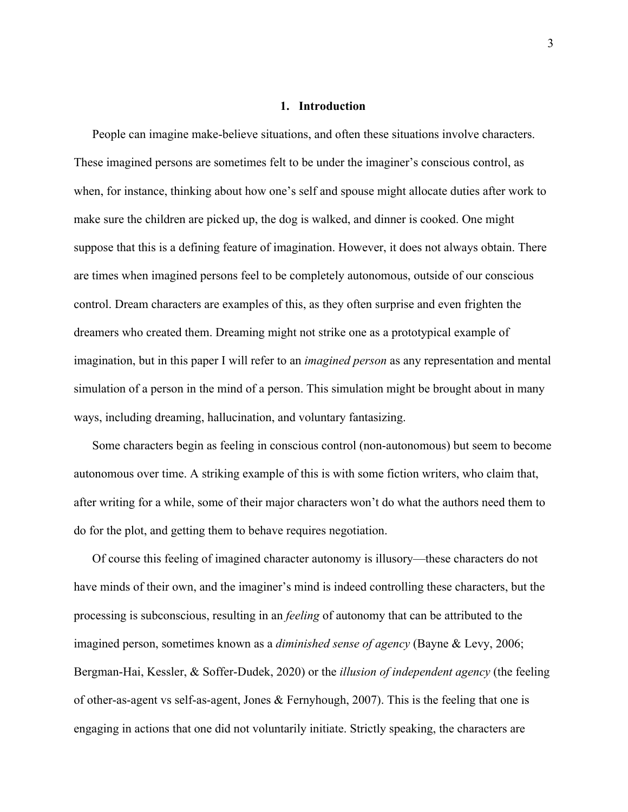#### **1. Introduction**

People can imagine make-believe situations, and often these situations involve characters. These imagined persons are sometimes felt to be under the imaginer's conscious control, as when, for instance, thinking about how one's self and spouse might allocate duties after work to make sure the children are picked up, the dog is walked, and dinner is cooked. One might suppose that this is a defining feature of imagination. However, it does not always obtain. There are times when imagined persons feel to be completely autonomous, outside of our conscious control. Dream characters are examples of this, as they often surprise and even frighten the dreamers who created them. Dreaming might not strike one as a prototypical example of imagination, but in this paper I will refer to an *imagined person* as any representation and mental simulation of a person in the mind of a person. This simulation might be brought about in many ways, including dreaming, hallucination, and voluntary fantasizing.

Some characters begin as feeling in conscious control (non-autonomous) but seem to become autonomous over time. A striking example of this is with some fiction writers, who claim that, after writing for a while, some of their major characters won't do what the authors need them to do for the plot, and getting them to behave requires negotiation.

Of course this feeling of imagined character autonomy is illusory—these characters do not have minds of their own, and the imaginer's mind is indeed controlling these characters, but the processing is subconscious, resulting in an *feeling* of autonomy that can be attributed to the imagined person, sometimes known as a *diminished sense of agency* (Bayne & Levy, 2006; Bergman-Hai, Kessler, & Soffer-Dudek, 2020) or the *illusion of independent agency* (the feeling of other-as-agent vs self-as-agent, Jones & Fernyhough, 2007). This is the feeling that one is engaging in actions that one did not voluntarily initiate. Strictly speaking, the characters are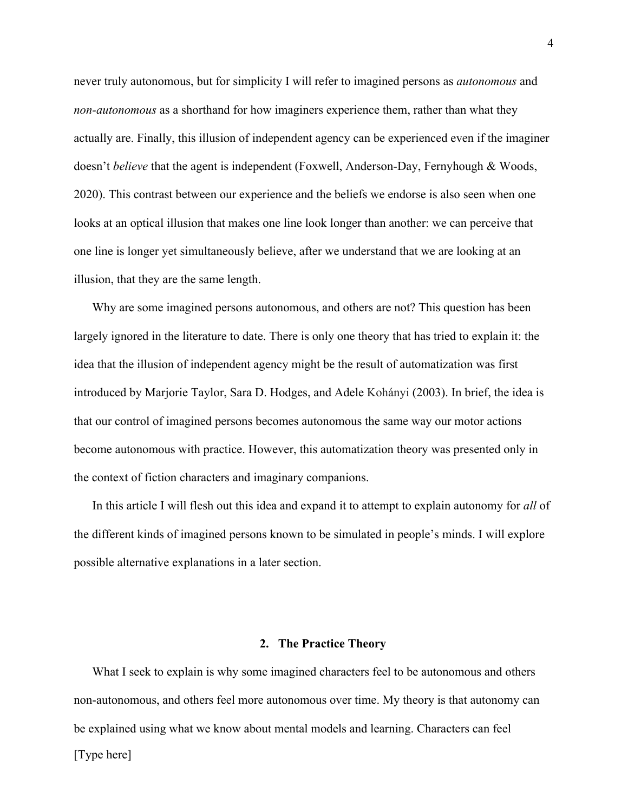never truly autonomous, but for simplicity I will refer to imagined persons as *autonomous* and *non-autonomous* as a shorthand for how imaginers experience them, rather than what they actually are. Finally, this illusion of independent agency can be experienced even if the imaginer doesn't *believe* that the agent is independent (Foxwell, Anderson-Day, Fernyhough & Woods, 2020). This contrast between our experience and the beliefs we endorse is also seen when one looks at an optical illusion that makes one line look longer than another: we can perceive that one line is longer yet simultaneously believe, after we understand that we are looking at an illusion, that they are the same length.

Why are some imagined persons autonomous, and others are not? This question has been largely ignored in the literature to date. There is only one theory that has tried to explain it: the idea that the illusion of independent agency might be the result of automatization was first introduced by Marjorie Taylor, Sara D. Hodges, and Adele Kohányi (2003). In brief, the idea is that our control of imagined persons becomes autonomous the same way our motor actions become autonomous with practice. However, this automatization theory was presented only in the context of fiction characters and imaginary companions.

In this article I will flesh out this idea and expand it to attempt to explain autonomy for *all* of the different kinds of imagined persons known to be simulated in people's minds. I will explore possible alternative explanations in a later section.

#### **2. The Practice Theory**

[Type here] What I seek to explain is why some imagined characters feel to be autonomous and others non-autonomous, and others feel more autonomous over time. My theory is that autonomy can be explained using what we know about mental models and learning. Characters can feel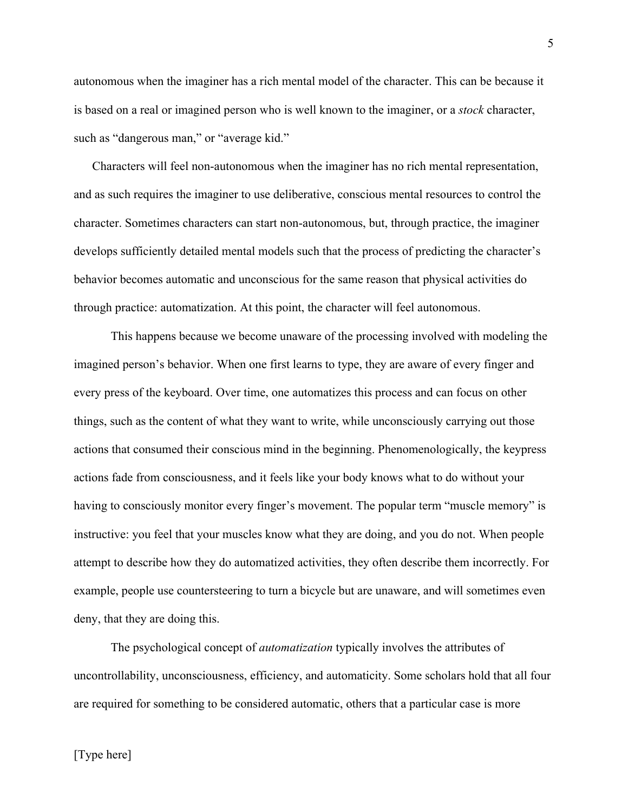autonomous when the imaginer has a rich mental model of the character. This can be because it is based on a real or imagined person who is well known to the imaginer, or a *stock* character, such as "dangerous man," or "average kid."

Characters will feel non-autonomous when the imaginer has no rich mental representation, and as such requires the imaginer to use deliberative, conscious mental resources to control the character. Sometimes characters can start non-autonomous, but, through practice, the imaginer develops sufficiently detailed mental models such that the process of predicting the character's behavior becomes automatic and unconscious for the same reason that physical activities do through practice: automatization. At this point, the character will feel autonomous.

This happens because we become unaware of the processing involved with modeling the imagined person's behavior. When one first learns to type, they are aware of every finger and every press of the keyboard. Over time, one automatizes this process and can focus on other things, such as the content of what they want to write, while unconsciously carrying out those actions that consumed their conscious mind in the beginning. Phenomenologically, the keypress actions fade from consciousness, and it feels like your body knows what to do without your having to consciously monitor every finger's movement. The popular term "muscle memory" is instructive: you feel that your muscles know what they are doing, and you do not. When people attempt to describe how they do automatized activities, they often describe them incorrectly. For example, people use countersteering to turn a bicycle but are unaware, and will sometimes even deny, that they are doing this.

The psychological concept of *automatization* typically involves the attributes of uncontrollability, unconsciousness, efficiency, and automaticity. Some scholars hold that all four are required for something to be considered automatic, others that a particular case is more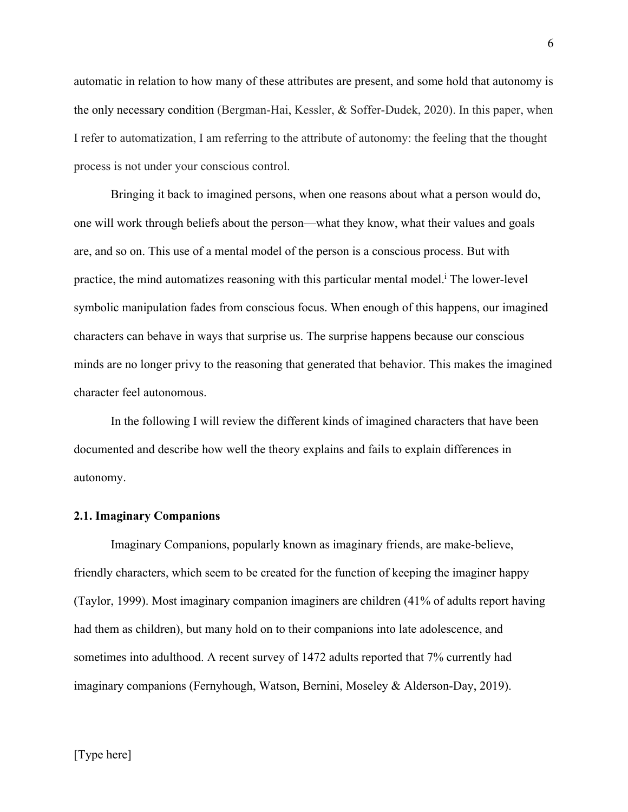automatic in relation to how many of these attributes are present, and some hold that autonomy is the only necessary condition (Bergman-Hai, Kessler, & Soffer-Dudek, 2020). In this paper, when I refer to automatization, I am referring to the attribute of autonomy: the feeling that the thought process is not under your conscious control.

Bringing it back to imagined persons, when one reasons about what a person would do, one will work through beliefs about the person—what they know, what their values and goals are, and so on. This use of a mental model of the person is a conscious process. But with practice, the mind automatizes reasoning with this particular mental model. <sup>i</sup> The lower-level symbolic manipulation fades from conscious focus. When enough of this happens, our imagined characters can behave in ways that surprise us. The surprise happens because our conscious minds are no longer privy to the reasoning that generated that behavior. This makes the imagined character feel autonomous.

In the following I will review the different kinds of imagined characters that have been documented and describe how well the theory explains and fails to explain differences in autonomy.

## **2.1. Imaginary Companions**

Imaginary Companions, popularly known as imaginary friends, are make-believe, friendly characters, which seem to be created for the function of keeping the imaginer happy (Taylor, 1999). Most imaginary companion imaginers are children (41% of adults report having had them as children), but many hold on to their companions into late adolescence, and sometimes into adulthood. A recent survey of 1472 adults reported that 7% currently had imaginary companions (Fernyhough, Watson, Bernini, Moseley & Alderson-Day, 2019).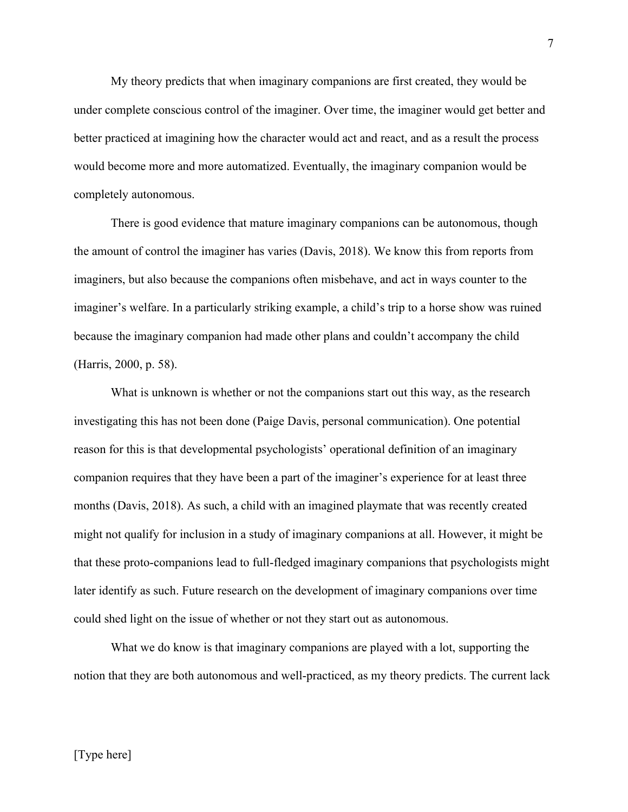My theory predicts that when imaginary companions are first created, they would be under complete conscious control of the imaginer. Over time, the imaginer would get better and better practiced at imagining how the character would act and react, and as a result the process would become more and more automatized. Eventually, the imaginary companion would be completely autonomous.

There is good evidence that mature imaginary companions can be autonomous, though the amount of control the imaginer has varies (Davis, 2018). We know this from reports from imaginers, but also because the companions often misbehave, and act in ways counter to the imaginer's welfare. In a particularly striking example, a child's trip to a horse show was ruined because the imaginary companion had made other plans and couldn't accompany the child (Harris, 2000, p. 58).

What is unknown is whether or not the companions start out this way, as the research investigating this has not been done (Paige Davis, personal communication). One potential reason for this is that developmental psychologists' operational definition of an imaginary companion requires that they have been a part of the imaginer's experience for at least three months (Davis, 2018). As such, a child with an imagined playmate that was recently created might not qualify for inclusion in a study of imaginary companions at all. However, it might be that these proto-companions lead to full-fledged imaginary companions that psychologists might later identify as such. Future research on the development of imaginary companions over time could shed light on the issue of whether or not they start out as autonomous.

What we do know is that imaginary companions are played with a lot, supporting the notion that they are both autonomous and well-practiced, as my theory predicts. The current lack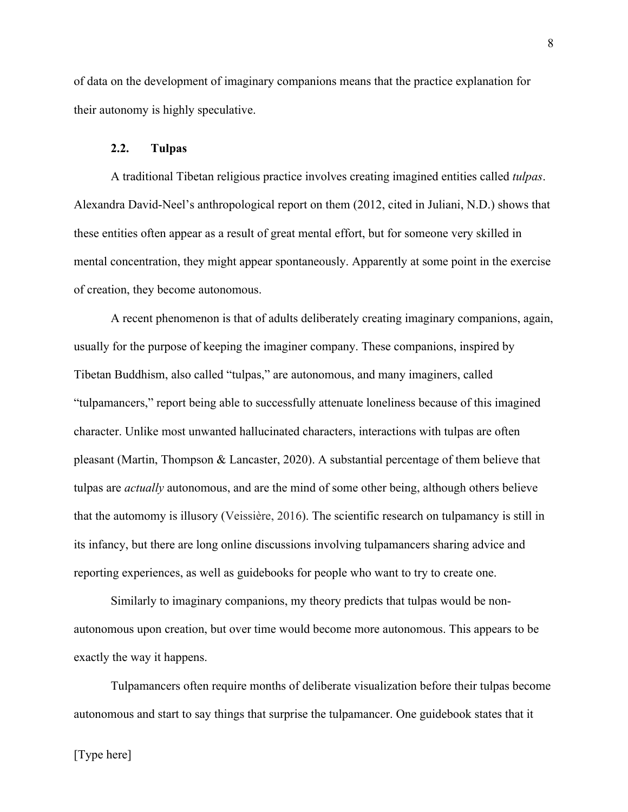of data on the development of imaginary companions means that the practice explanation for their autonomy is highly speculative.

## **2.2. Tulpas**

A traditional Tibetan religious practice involves creating imagined entities called *tulpas*. Alexandra David-Neel's anthropological report on them (2012, cited in Juliani, N.D.) shows that these entities often appear as a result of great mental effort, but for someone very skilled in mental concentration, they might appear spontaneously. Apparently at some point in the exercise of creation, they become autonomous.

A recent phenomenon is that of adults deliberately creating imaginary companions, again, usually for the purpose of keeping the imaginer company. These companions, inspired by Tibetan Buddhism, also called "tulpas," are autonomous, and many imaginers, called "tulpamancers," report being able to successfully attenuate loneliness because of this imagined character. Unlike most unwanted hallucinated characters, interactions with tulpas are often pleasant (Martin, Thompson & Lancaster, 2020). A substantial percentage of them believe that tulpas are *actually* autonomous, and are the mind of some other being, although others believe that the automomy is illusory (Veissière, 2016). The scientific research on tulpamancy is still in its infancy, but there are long online discussions involving tulpamancers sharing advice and reporting experiences, as well as guidebooks for people who want to try to create one.

Similarly to imaginary companions, my theory predicts that tulpas would be nonautonomous upon creation, but over time would become more autonomous. This appears to be exactly the way it happens.

Tulpamancers often require months of deliberate visualization before their tulpas become autonomous and start to say things that surprise the tulpamancer. One guidebook states that it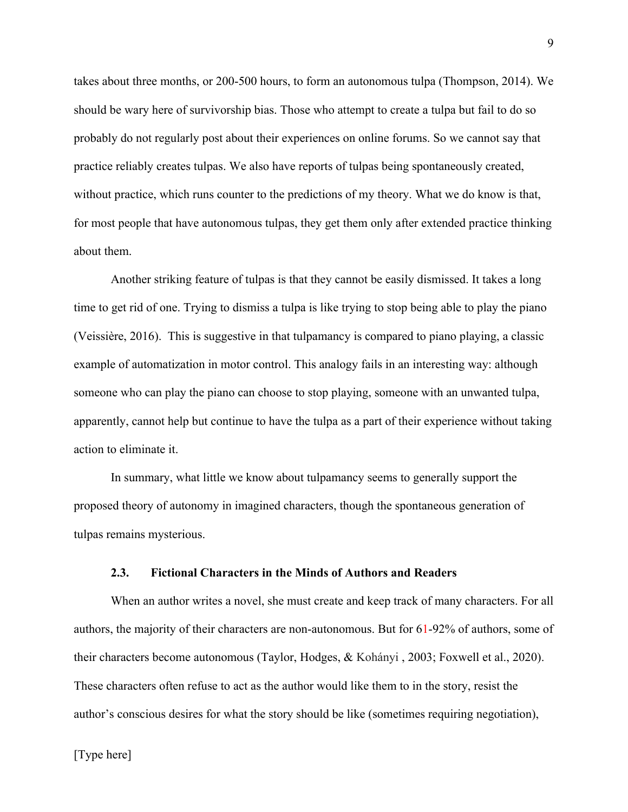takes about three months, or 200-500 hours, to form an autonomous tulpa (Thompson, 2014). We should be wary here of survivorship bias. Those who attempt to create a tulpa but fail to do so probably do not regularly post about their experiences on online forums. So we cannot say that practice reliably creates tulpas. We also have reports of tulpas being spontaneously created, without practice, which runs counter to the predictions of my theory. What we do know is that, for most people that have autonomous tulpas, they get them only after extended practice thinking about them.

Another striking feature of tulpas is that they cannot be easily dismissed. It takes a long time to get rid of one. Trying to dismiss a tulpa is like trying to stop being able to play the piano (Veissière, 2016). This is suggestive in that tulpamancy is compared to piano playing, a classic example of automatization in motor control. This analogy fails in an interesting way: although someone who can play the piano can choose to stop playing, someone with an unwanted tulpa, apparently, cannot help but continue to have the tulpa as a part of their experience without taking action to eliminate it.

In summary, what little we know about tulpamancy seems to generally support the proposed theory of autonomy in imagined characters, though the spontaneous generation of tulpas remains mysterious.

## **2.3. Fictional Characters in the Minds of Authors and Readers**

When an author writes a novel, she must create and keep track of many characters. For all authors, the majority of their characters are non-autonomous. But for 61-92% of authors, some of their characters become autonomous (Taylor, Hodges, & Kohányi , 2003; Foxwell et al., 2020). These characters often refuse to act as the author would like them to in the story, resist the author's conscious desires for what the story should be like (sometimes requiring negotiation),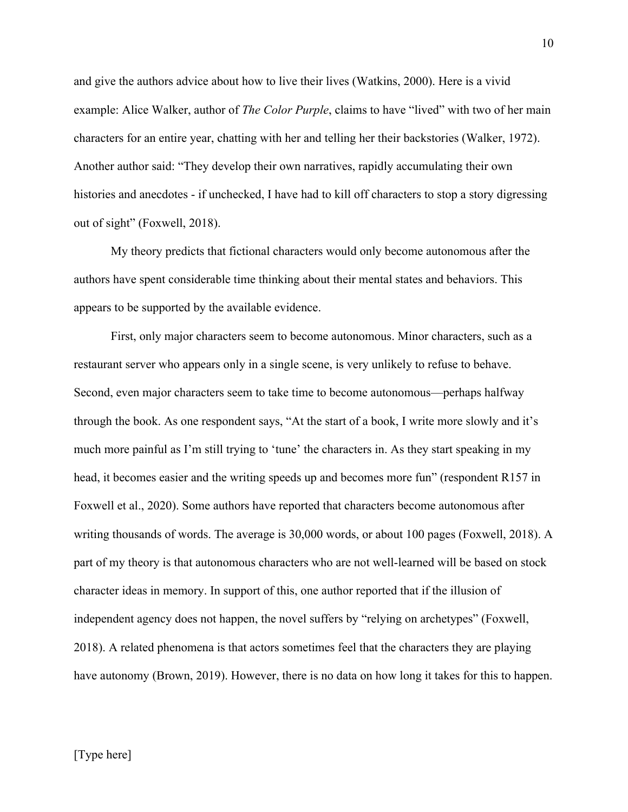and give the authors advice about how to live their lives (Watkins, 2000). Here is a vivid example: Alice Walker, author of *The Color Purple*, claims to have "lived" with two of her main characters for an entire year, chatting with her and telling her their backstories (Walker, 1972). Another author said: "They develop their own narratives, rapidly accumulating their own histories and anecdotes - if unchecked, I have had to kill off characters to stop a story digressing out of sight" (Foxwell, 2018).

My theory predicts that fictional characters would only become autonomous after the authors have spent considerable time thinking about their mental states and behaviors. This appears to be supported by the available evidence.

First, only major characters seem to become autonomous. Minor characters, such as a restaurant server who appears only in a single scene, is very unlikely to refuse to behave. Second, even major characters seem to take time to become autonomous—perhaps halfway through the book. As one respondent says, "At the start of a book, I write more slowly and it's much more painful as I'm still trying to 'tune' the characters in. As they start speaking in my head, it becomes easier and the writing speeds up and becomes more fun" (respondent R157 in Foxwell et al., 2020). Some authors have reported that characters become autonomous after writing thousands of words. The average is 30,000 words, or about 100 pages (Foxwell, 2018). A part of my theory is that autonomous characters who are not well-learned will be based on stock character ideas in memory. In support of this, one author reported that if the illusion of independent agency does not happen, the novel suffers by "relying on archetypes" (Foxwell, 2018). A related phenomena is that actors sometimes feel that the characters they are playing have autonomy (Brown, 2019). However, there is no data on how long it takes for this to happen.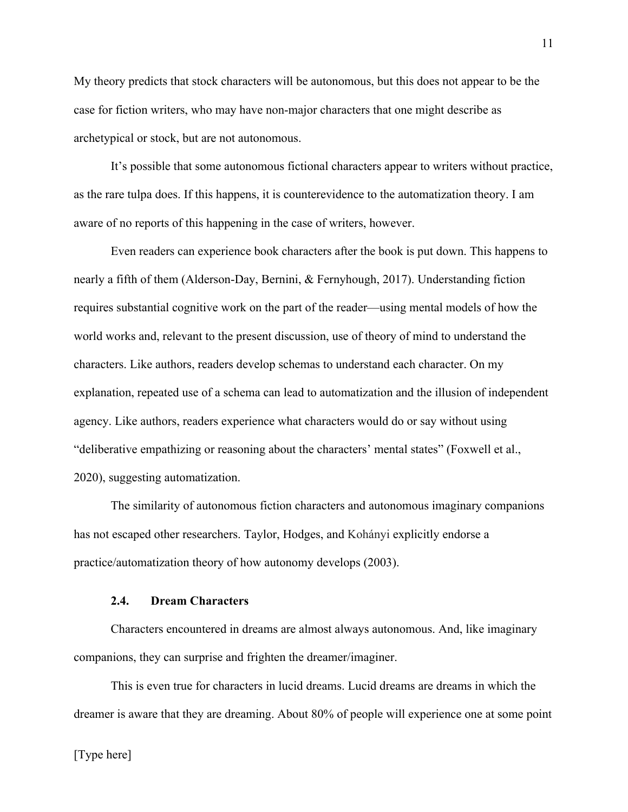My theory predicts that stock characters will be autonomous, but this does not appear to be the case for fiction writers, who may have non-major characters that one might describe as archetypical or stock, but are not autonomous.

It's possible that some autonomous fictional characters appear to writers without practice, as the rare tulpa does. If this happens, it is counterevidence to the automatization theory. I am aware of no reports of this happening in the case of writers, however.

Even readers can experience book characters after the book is put down. This happens to nearly a fifth of them (Alderson-Day, Bernini, & Fernyhough, 2017). Understanding fiction requires substantial cognitive work on the part of the reader—using mental models of how the world works and, relevant to the present discussion, use of theory of mind to understand the characters. Like authors, readers develop schemas to understand each character. On my explanation, repeated use of a schema can lead to automatization and the illusion of independent agency. Like authors, readers experience what characters would do or say without using "deliberative empathizing or reasoning about the characters' mental states" (Foxwell et al., 2020), suggesting automatization.

The similarity of autonomous fiction characters and autonomous imaginary companions has not escaped other researchers. Taylor, Hodges, and Kohányi explicitly endorse a practice/automatization theory of how autonomy develops (2003).

#### **2.4. Dream Characters**

Characters encountered in dreams are almost always autonomous. And, like imaginary companions, they can surprise and frighten the dreamer/imaginer.

This is even true for characters in lucid dreams. Lucid dreams are dreams in which the dreamer is aware that they are dreaming. About 80% of people will experience one at some point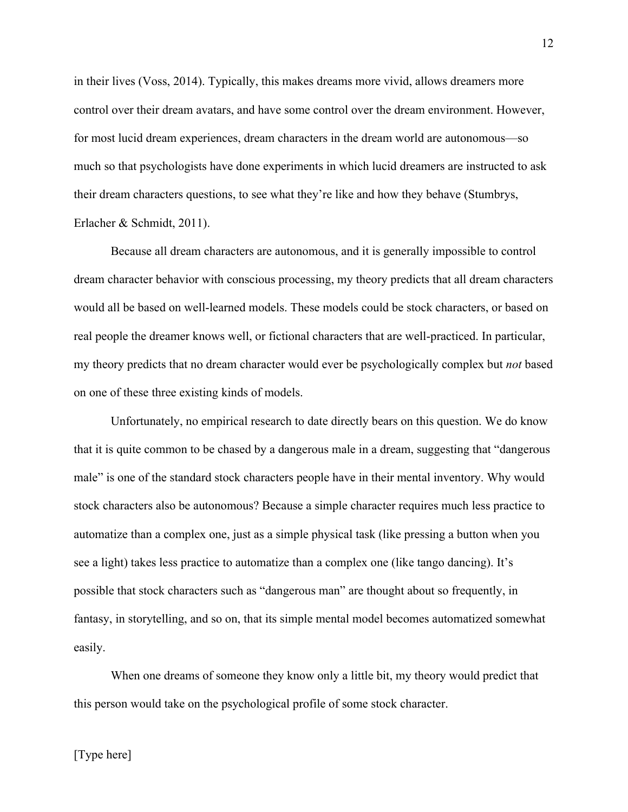in their lives (Voss, 2014). Typically, this makes dreams more vivid, allows dreamers more control over their dream avatars, and have some control over the dream environment. However, for most lucid dream experiences, dream characters in the dream world are autonomous—so much so that psychologists have done experiments in which lucid dreamers are instructed to ask their dream characters questions, to see what they're like and how they behave (Stumbrys, Erlacher & Schmidt, 2011).

Because all dream characters are autonomous, and it is generally impossible to control dream character behavior with conscious processing, my theory predicts that all dream characters would all be based on well-learned models. These models could be stock characters, or based on real people the dreamer knows well, or fictional characters that are well-practiced. In particular, my theory predicts that no dream character would ever be psychologically complex but *not* based on one of these three existing kinds of models.

Unfortunately, no empirical research to date directly bears on this question. We do know that it is quite common to be chased by a dangerous male in a dream, suggesting that "dangerous male" is one of the standard stock characters people have in their mental inventory. Why would stock characters also be autonomous? Because a simple character requires much less practice to automatize than a complex one, just as a simple physical task (like pressing a button when you see a light) takes less practice to automatize than a complex one (like tango dancing). It's possible that stock characters such as "dangerous man" are thought about so frequently, in fantasy, in storytelling, and so on, that its simple mental model becomes automatized somewhat easily.

When one dreams of someone they know only a little bit, my theory would predict that this person would take on the psychological profile of some stock character.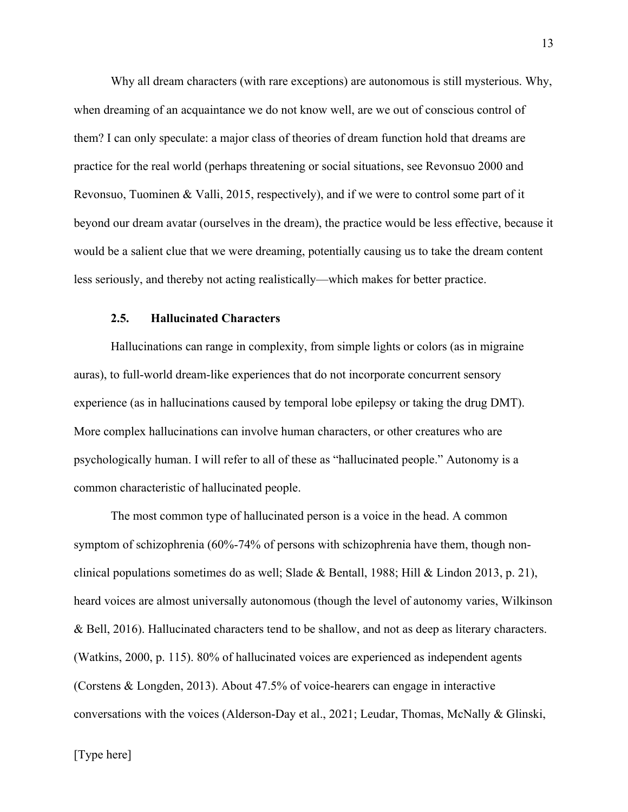Why all dream characters (with rare exceptions) are autonomous is still mysterious. Why, when dreaming of an acquaintance we do not know well, are we out of conscious control of them? I can only speculate: a major class of theories of dream function hold that dreams are practice for the real world (perhaps threatening or social situations, see Revonsuo 2000 and Revonsuo, Tuominen & Valli, 2015, respectively), and if we were to control some part of it beyond our dream avatar (ourselves in the dream), the practice would be less effective, because it would be a salient clue that we were dreaming, potentially causing us to take the dream content less seriously, and thereby not acting realistically—which makes for better practice.

## **2.5. Hallucinated Characters**

Hallucinations can range in complexity, from simple lights or colors (as in migraine auras), to full-world dream-like experiences that do not incorporate concurrent sensory experience (as in hallucinations caused by temporal lobe epilepsy or taking the drug DMT). More complex hallucinations can involve human characters, or other creatures who are psychologically human. I will refer to all of these as "hallucinated people." Autonomy is a common characteristic of hallucinated people.

The most common type of hallucinated person is a voice in the head. A common symptom of schizophrenia (60%-74% of persons with schizophrenia have them, though nonclinical populations sometimes do as well; Slade & Bentall, 1988; Hill & Lindon 2013, p. 21), heard voices are almost universally autonomous (though the level of autonomy varies, Wilkinson & Bell, 2016). Hallucinated characters tend to be shallow, and not as deep as literary characters. (Watkins, 2000, p. 115). 80% of hallucinated voices are experienced as independent agents (Corstens & Longden, 2013). About 47.5% of voice-hearers can engage in interactive conversations with the voices (Alderson-Day et al., 2021; Leudar, Thomas, McNally & Glinski,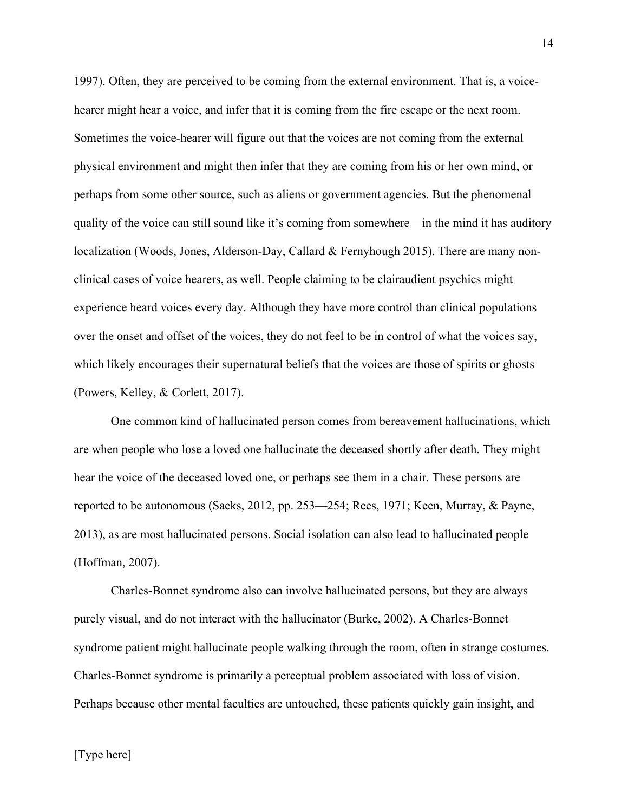1997). Often, they are perceived to be coming from the external environment. That is, a voicehearer might hear a voice, and infer that it is coming from the fire escape or the next room. Sometimes the voice-hearer will figure out that the voices are not coming from the external physical environment and might then infer that they are coming from his or her own mind, or perhaps from some other source, such as aliens or government agencies. But the phenomenal quality of the voice can still sound like it's coming from somewhere—in the mind it has auditory localization (Woods, Jones, Alderson-Day, Callard & Fernyhough 2015). There are many nonclinical cases of voice hearers, as well. People claiming to be clairaudient psychics might experience heard voices every day. Although they have more control than clinical populations over the onset and offset of the voices, they do not feel to be in control of what the voices say, which likely encourages their supernatural beliefs that the voices are those of spirits or ghosts (Powers, Kelley, & Corlett, 2017).

One common kind of hallucinated person comes from bereavement hallucinations, which are when people who lose a loved one hallucinate the deceased shortly after death. They might hear the voice of the deceased loved one, or perhaps see them in a chair. These persons are reported to be autonomous (Sacks, 2012, pp. 253—254; Rees, 1971; Keen, Murray, & Payne, 2013), as are most hallucinated persons. Social isolation can also lead to hallucinated people (Hoffman, 2007).

Charles-Bonnet syndrome also can involve hallucinated persons, but they are always purely visual, and do not interact with the hallucinator (Burke, 2002). A Charles-Bonnet syndrome patient might hallucinate people walking through the room, often in strange costumes. Charles-Bonnet syndrome is primarily a perceptual problem associated with loss of vision. Perhaps because other mental faculties are untouched, these patients quickly gain insight, and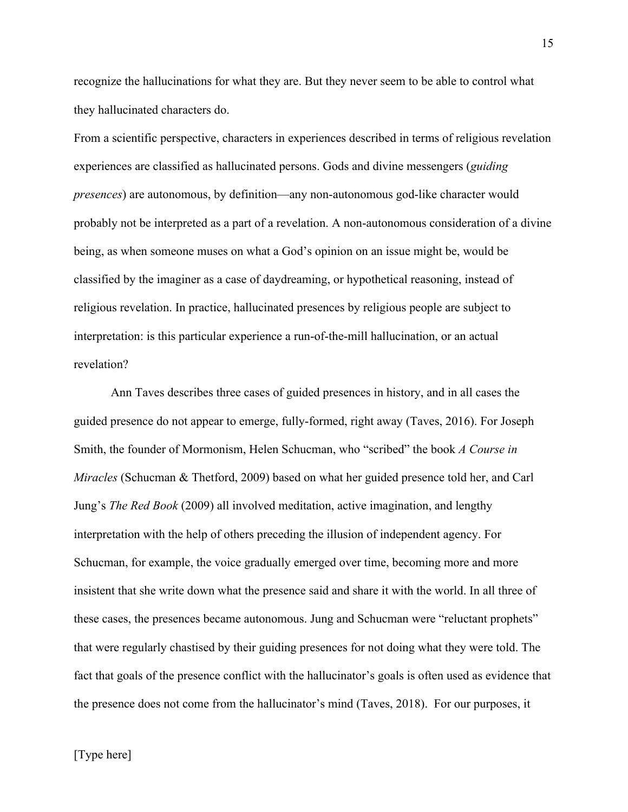recognize the hallucinations for what they are. But they never seem to be able to control what they hallucinated characters do.

From a scientific perspective, characters in experiences described in terms of religious revelation experiences are classified as hallucinated persons. Gods and divine messengers (*guiding presences*) are autonomous, by definition—any non-autonomous god-like character would probably not be interpreted as a part of a revelation. A non-autonomous consideration of a divine being, as when someone muses on what a God's opinion on an issue might be, would be classified by the imaginer as a case of daydreaming, or hypothetical reasoning, instead of religious revelation. In practice, hallucinated presences by religious people are subject to interpretation: is this particular experience a run-of-the-mill hallucination, or an actual revelation?

Ann Taves describes three cases of guided presences in history, and in all cases the guided presence do not appear to emerge, fully-formed, right away (Taves, 2016). For Joseph Smith, the founder of Mormonism, Helen Schucman, who "scribed" the book *A Course in Miracles* (Schucman & Thetford, 2009) based on what her guided presence told her, and Carl Jung's *The Red Book* (2009) all involved meditation, active imagination, and lengthy interpretation with the help of others preceding the illusion of independent agency. For Schucman, for example, the voice gradually emerged over time, becoming more and more insistent that she write down what the presence said and share it with the world. In all three of these cases, the presences became autonomous. Jung and Schucman were "reluctant prophets" that were regularly chastised by their guiding presences for not doing what they were told. The fact that goals of the presence conflict with the hallucinator's goals is often used as evidence that the presence does not come from the hallucinator's mind (Taves, 2018). For our purposes, it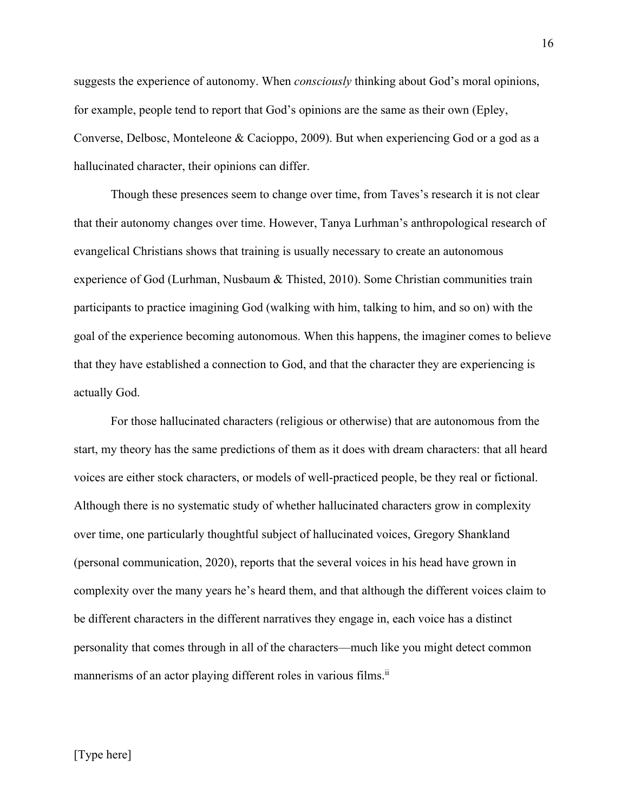suggests the experience of autonomy. When *consciously* thinking about God's moral opinions, for example, people tend to report that God's opinions are the same as their own (Epley, Converse, Delbosc, Monteleone & Cacioppo, 2009). But when experiencing God or a god as a hallucinated character, their opinions can differ.

Though these presences seem to change over time, from Taves's research it is not clear that their autonomy changes over time. However, Tanya Lurhman's anthropological research of evangelical Christians shows that training is usually necessary to create an autonomous experience of God (Lurhman, Nusbaum & Thisted, 2010). Some Christian communities train participants to practice imagining God (walking with him, talking to him, and so on) with the goal of the experience becoming autonomous. When this happens, the imaginer comes to believe that they have established a connection to God, and that the character they are experiencing is actually God.

For those hallucinated characters (religious or otherwise) that are autonomous from the start, my theory has the same predictions of them as it does with dream characters: that all heard voices are either stock characters, or models of well-practiced people, be they real or fictional. Although there is no systematic study of whether hallucinated characters grow in complexity over time, one particularly thoughtful subject of hallucinated voices, Gregory Shankland (personal communication, 2020), reports that the several voices in his head have grown in complexity over the many years he's heard them, and that although the different voices claim to be different characters in the different narratives they engage in, each voice has a distinct personality that comes through in all of the characters—much like you might detect common mannerisms of an actor playing different roles in various films.<sup>ii</sup>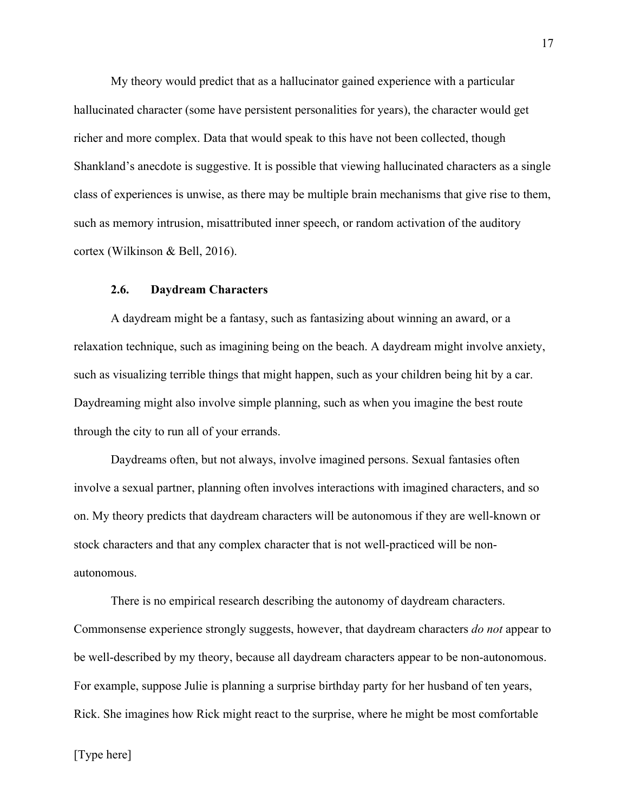My theory would predict that as a hallucinator gained experience with a particular hallucinated character (some have persistent personalities for years), the character would get richer and more complex. Data that would speak to this have not been collected, though Shankland's anecdote is suggestive. It is possible that viewing hallucinated characters as a single class of experiences is unwise, as there may be multiple brain mechanisms that give rise to them, such as memory intrusion, misattributed inner speech, or random activation of the auditory cortex (Wilkinson & Bell, 2016).

## **2.6. Daydream Characters**

A daydream might be a fantasy, such as fantasizing about winning an award, or a relaxation technique, such as imagining being on the beach. A daydream might involve anxiety, such as visualizing terrible things that might happen, such as your children being hit by a car. Daydreaming might also involve simple planning, such as when you imagine the best route through the city to run all of your errands.

Daydreams often, but not always, involve imagined persons. Sexual fantasies often involve a sexual partner, planning often involves interactions with imagined characters, and so on. My theory predicts that daydream characters will be autonomous if they are well-known or stock characters and that any complex character that is not well-practiced will be nonautonomous.

There is no empirical research describing the autonomy of daydream characters. Commonsense experience strongly suggests, however, that daydream characters *do not* appear to be well-described by my theory, because all daydream characters appear to be non-autonomous. For example, suppose Julie is planning a surprise birthday party for her husband of ten years, Rick. She imagines how Rick might react to the surprise, where he might be most comfortable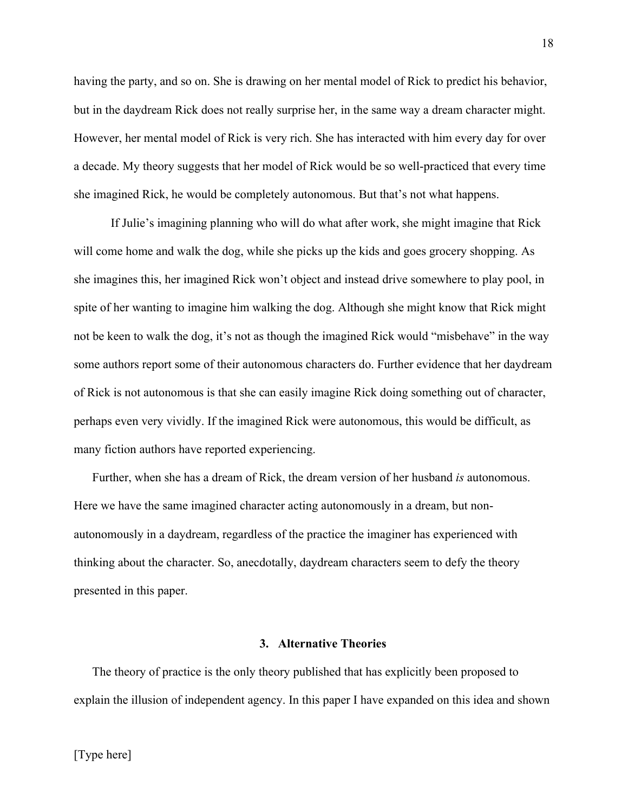having the party, and so on. She is drawing on her mental model of Rick to predict his behavior, but in the daydream Rick does not really surprise her, in the same way a dream character might. However, her mental model of Rick is very rich. She has interacted with him every day for over a decade. My theory suggests that her model of Rick would be so well-practiced that every time she imagined Rick, he would be completely autonomous. But that's not what happens.

If Julie's imagining planning who will do what after work, she might imagine that Rick will come home and walk the dog, while she picks up the kids and goes grocery shopping. As she imagines this, her imagined Rick won't object and instead drive somewhere to play pool, in spite of her wanting to imagine him walking the dog. Although she might know that Rick might not be keen to walk the dog, it's not as though the imagined Rick would "misbehave" in the way some authors report some of their autonomous characters do. Further evidence that her daydream of Rick is not autonomous is that she can easily imagine Rick doing something out of character, perhaps even very vividly. If the imagined Rick were autonomous, this would be difficult, as many fiction authors have reported experiencing.

Further, when she has a dream of Rick, the dream version of her husband *is* autonomous. Here we have the same imagined character acting autonomously in a dream, but nonautonomously in a daydream, regardless of the practice the imaginer has experienced with thinking about the character. So, anecdotally, daydream characters seem to defy the theory presented in this paper.

#### **3. Alternative Theories**

The theory of practice is the only theory published that has explicitly been proposed to explain the illusion of independent agency. In this paper I have expanded on this idea and shown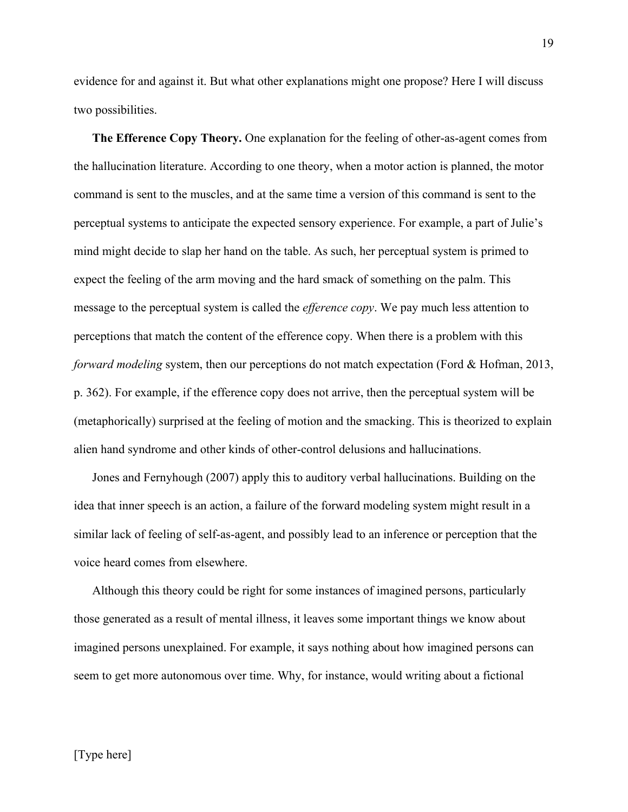evidence for and against it. But what other explanations might one propose? Here I will discuss two possibilities.

**The Efference Copy Theory.** One explanation for the feeling of other-as-agent comes from the hallucination literature. According to one theory, when a motor action is planned, the motor command is sent to the muscles, and at the same time a version of this command is sent to the perceptual systems to anticipate the expected sensory experience. For example, a part of Julie's mind might decide to slap her hand on the table. As such, her perceptual system is primed to expect the feeling of the arm moving and the hard smack of something on the palm. This message to the perceptual system is called the *efference copy*. We pay much less attention to perceptions that match the content of the efference copy. When there is a problem with this *forward modeling* system, then our perceptions do not match expectation (Ford & Hofman, 2013, p. 362). For example, if the efference copy does not arrive, then the perceptual system will be (metaphorically) surprised at the feeling of motion and the smacking. This is theorized to explain alien hand syndrome and other kinds of other-control delusions and hallucinations.

Jones and Fernyhough (2007) apply this to auditory verbal hallucinations. Building on the idea that inner speech is an action, a failure of the forward modeling system might result in a similar lack of feeling of self-as-agent, and possibly lead to an inference or perception that the voice heard comes from elsewhere.

Although this theory could be right for some instances of imagined persons, particularly those generated as a result of mental illness, it leaves some important things we know about imagined persons unexplained. For example, it says nothing about how imagined persons can seem to get more autonomous over time. Why, for instance, would writing about a fictional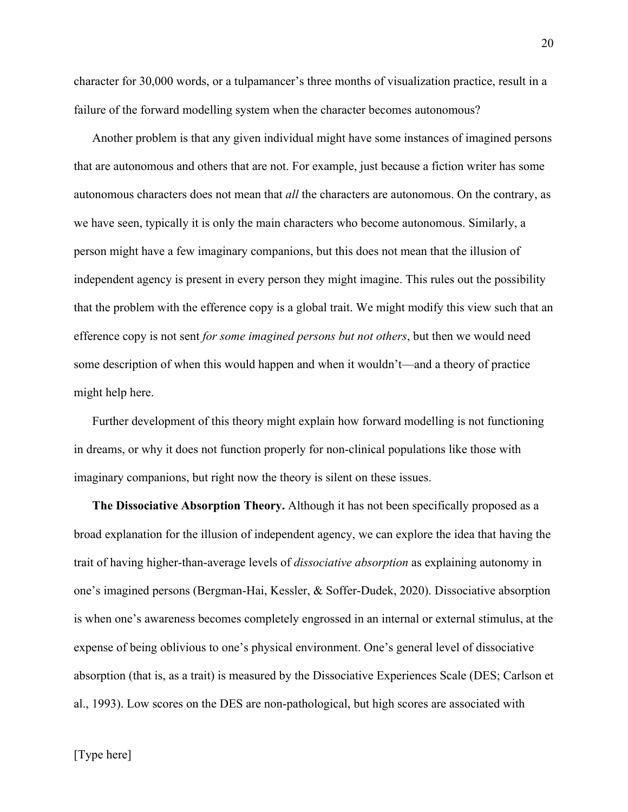character for 30,000 words, or a tulpamancer's three months of visualization practice, result in a failure of the forward modelling system when the character becomes autonomous?

Another problem is that any given individual might have some instances of imagined persons that are autonomous and others that are not. For example, just because a fiction writer has some autonomous characters does not mean that *all* the characters are autonomous. On the contrary, as we have seen, typically it is only the main characters who become autonomous. Similarly, a person might have a few imaginary companions, but this does not mean that the illusion of independent agency is present in every person they might imagine. This rules out the possibility that the problem with the efference copy is a global trait. We might modify this view such that an efference copy is not sent *for some imagined persons but not others*, but then we would need some description of when this would happen and when it wouldn't—and a theory of practice might help here.

Further development of this theory might explain how forward modelling is not functioning in dreams, or why it does not function properly for non-clinical populations like those with imaginary companions, but right now the theory is silent on these issues.

**The Dissociative Absorption Theory.** Although it has not been specifically proposed as a broad explanation for the illusion of independent agency, we can explore the idea that having the trait of having higher-than-average levels of *dissociative absorption* as explaining autonomy in one's imagined persons (Bergman-Hai, Kessler, & Soffer-Dudek, 2020). Dissociative absorption is when one's awareness becomes completely engrossed in an internal or external stimulus, at the expense of being oblivious to one's physical environment. One's general level of dissociative absorption (that is, as a trait) is measured by the Dissociative Experiences Scale (DES; Carlson et al., 1993). Low scores on the DES are non-pathological, but high scores are associated with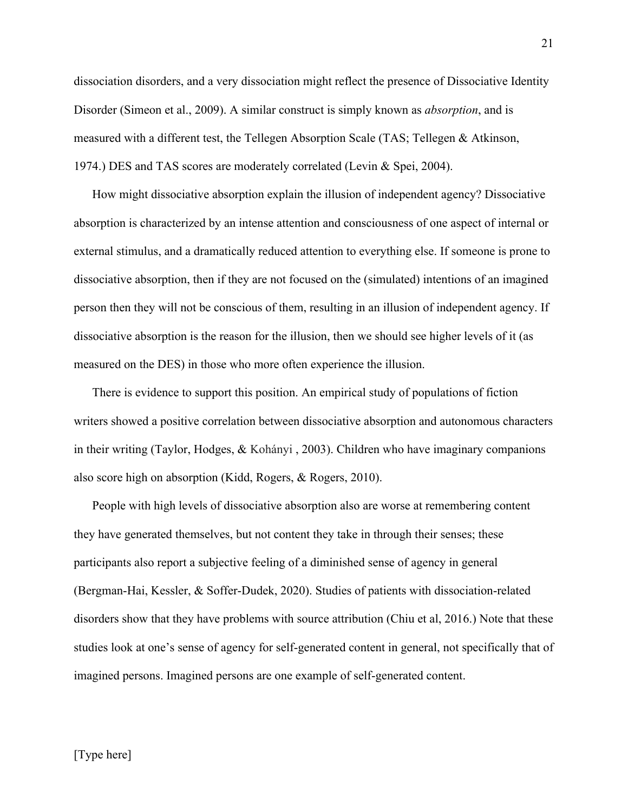dissociation disorders, and a very dissociation might reflect the presence of Dissociative Identity Disorder (Simeon et al., 2009). A similar construct is simply known as *absorption*, and is measured with a different test, the Tellegen Absorption Scale (TAS; Tellegen & Atkinson, 1974.) DES and TAS scores are moderately correlated (Levin & Spei, 2004).

How might dissociative absorption explain the illusion of independent agency? Dissociative absorption is characterized by an intense attention and consciousness of one aspect of internal or external stimulus, and a dramatically reduced attention to everything else. If someone is prone to dissociative absorption, then if they are not focused on the (simulated) intentions of an imagined person then they will not be conscious of them, resulting in an illusion of independent agency. If dissociative absorption is the reason for the illusion, then we should see higher levels of it (as measured on the DES) in those who more often experience the illusion.

There is evidence to support this position. An empirical study of populations of fiction writers showed a positive correlation between dissociative absorption and autonomous characters in their writing (Taylor, Hodges, & Kohányi , 2003). Children who have imaginary companions also score high on absorption (Kidd, Rogers, & Rogers, 2010).

People with high levels of dissociative absorption also are worse at remembering content they have generated themselves, but not content they take in through their senses; these participants also report a subjective feeling of a diminished sense of agency in general (Bergman-Hai, Kessler, & Soffer-Dudek, 2020). Studies of patients with dissociation-related disorders show that they have problems with source attribution (Chiu et al, 2016.) Note that these studies look at one's sense of agency for self-generated content in general, not specifically that of imagined persons. Imagined persons are one example of self-generated content.

21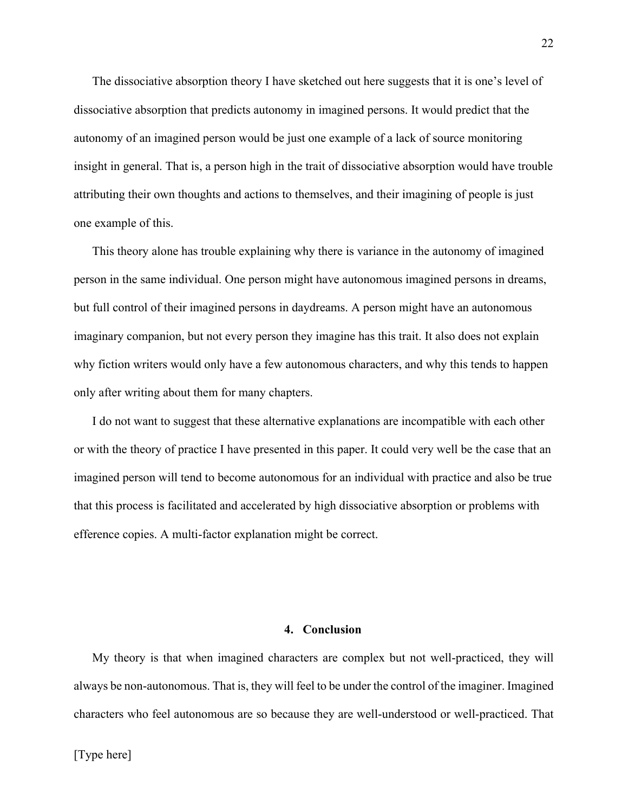The dissociative absorption theory I have sketched out here suggests that it is one's level of dissociative absorption that predicts autonomy in imagined persons. It would predict that the autonomy of an imagined person would be just one example of a lack of source monitoring insight in general. That is, a person high in the trait of dissociative absorption would have trouble attributing their own thoughts and actions to themselves, and their imagining of people is just one example of this.

This theory alone has trouble explaining why there is variance in the autonomy of imagined person in the same individual. One person might have autonomous imagined persons in dreams, but full control of their imagined persons in daydreams. A person might have an autonomous imaginary companion, but not every person they imagine has this trait. It also does not explain why fiction writers would only have a few autonomous characters, and why this tends to happen only after writing about them for many chapters.

I do not want to suggest that these alternative explanations are incompatible with each other or with the theory of practice I have presented in this paper. It could very well be the case that an imagined person will tend to become autonomous for an individual with practice and also be true that this process is facilitated and accelerated by high dissociative absorption or problems with efference copies. A multi-factor explanation might be correct.

#### **4. Conclusion**

My theory is that when imagined characters are complex but not well-practiced, they will always be non-autonomous. That is, they will feel to be under the control of the imaginer. Imagined characters who feel autonomous are so because they are well-understood or well-practiced. That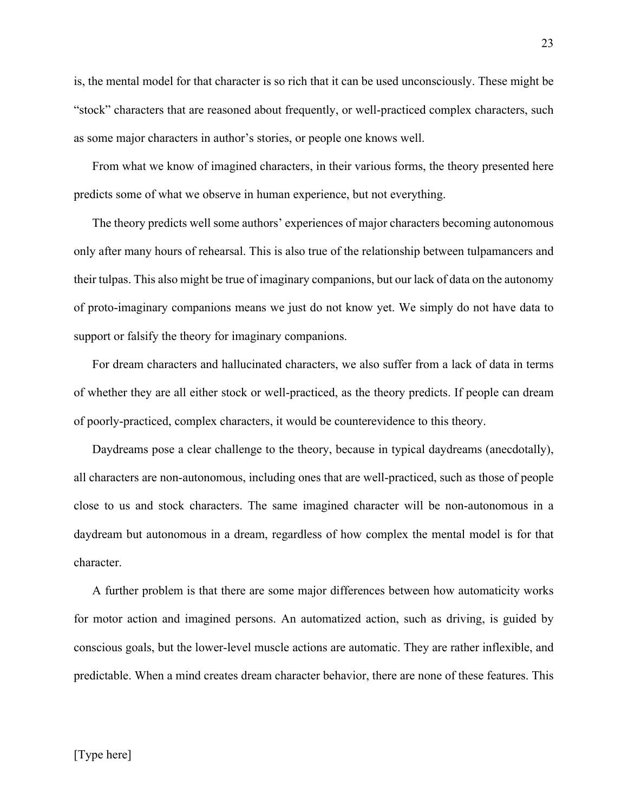is, the mental model for that character is so rich that it can be used unconsciously. These might be "stock" characters that are reasoned about frequently, or well-practiced complex characters, such as some major characters in author's stories, or people one knows well.

From what we know of imagined characters, in their various forms, the theory presented here predicts some of what we observe in human experience, but not everything.

The theory predicts well some authors' experiences of major characters becoming autonomous only after many hours of rehearsal. This is also true of the relationship between tulpamancers and their tulpas. This also might be true of imaginary companions, but our lack of data on the autonomy of proto-imaginary companions means we just do not know yet. We simply do not have data to support or falsify the theory for imaginary companions.

For dream characters and hallucinated characters, we also suffer from a lack of data in terms of whether they are all either stock or well-practiced, as the theory predicts. If people can dream of poorly-practiced, complex characters, it would be counterevidence to this theory.

Daydreams pose a clear challenge to the theory, because in typical daydreams (anecdotally), all characters are non-autonomous, including ones that are well-practiced, such as those of people close to us and stock characters. The same imagined character will be non-autonomous in a daydream but autonomous in a dream, regardless of how complex the mental model is for that character.

A further problem is that there are some major differences between how automaticity works for motor action and imagined persons. An automatized action, such as driving, is guided by conscious goals, but the lower-level muscle actions are automatic. They are rather inflexible, and predictable. When a mind creates dream character behavior, there are none of these features. This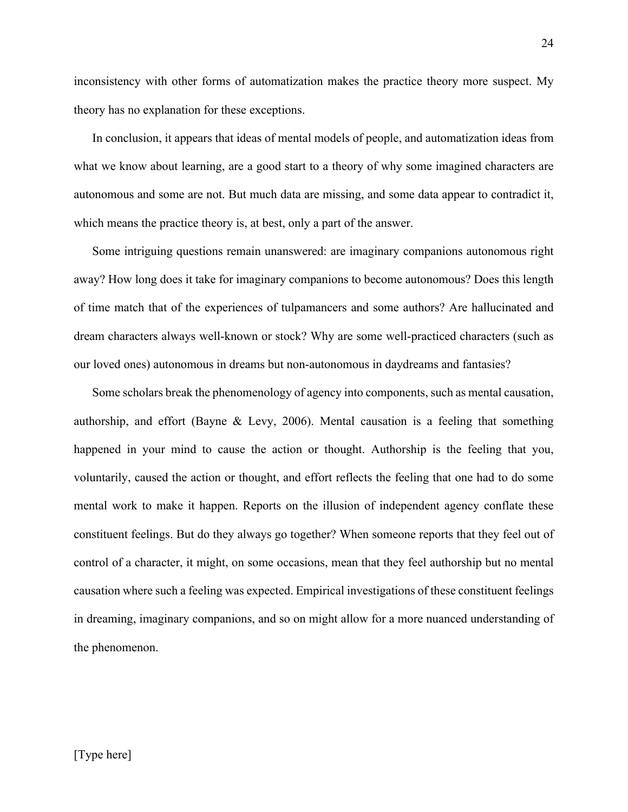inconsistency with other forms of automatization makes the practice theory more suspect. My theory has no explanation for these exceptions.

In conclusion, it appears that ideas of mental models of people, and automatization ideas from what we know about learning, are a good start to a theory of why some imagined characters are autonomous and some are not. But much data are missing, and some data appear to contradict it, which means the practice theory is, at best, only a part of the answer.

Some intriguing questions remain unanswered: are imaginary companions autonomous right away? How long does it take for imaginary companions to become autonomous? Does this length of time match that of the experiences of tulpamancers and some authors? Are hallucinated and dream characters always well-known or stock? Why are some well-practiced characters (such as our loved ones) autonomous in dreams but non-autonomous in daydreams and fantasies?

Some scholars break the phenomenology of agency into components, such as mental causation, authorship, and effort (Bayne & Levy, 2006). Mental causation is a feeling that something happened in your mind to cause the action or thought. Authorship is the feeling that you, voluntarily, caused the action or thought, and effort reflects the feeling that one had to do some mental work to make it happen. Reports on the illusion of independent agency conflate these constituent feelings. But do they always go together? When someone reports that they feel out of control of a character, it might, on some occasions, mean that they feel authorship but no mental causation where such a feeling was expected. Empirical investigations of these constituent feelings in dreaming, imaginary companions, and so on might allow for a more nuanced understanding of the phenomenon.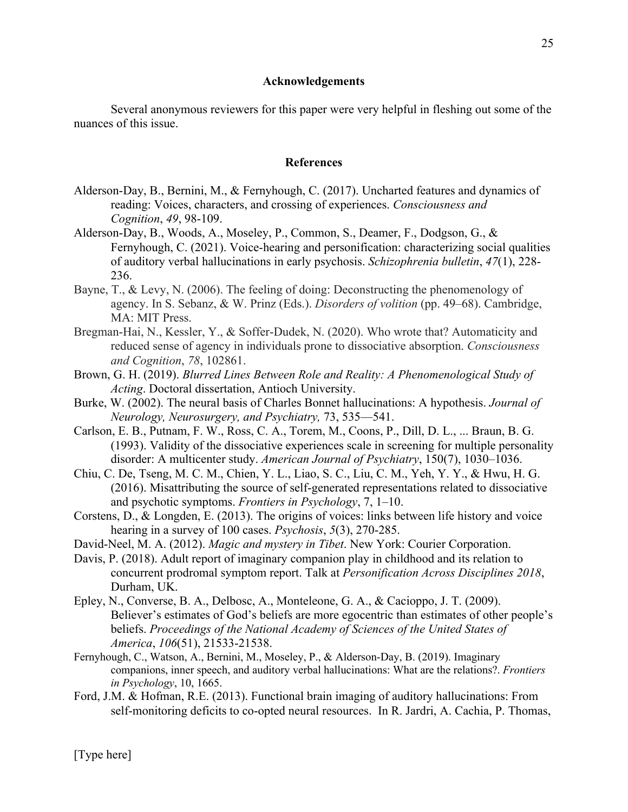## **Acknowledgements**

Several anonymous reviewers for this paper were very helpful in fleshing out some of the nuances of this issue.

## **References**

- Alderson-Day, B., Bernini, M., & Fernyhough, C. (2017). Uncharted features and dynamics of reading: Voices, characters, and crossing of experiences. *Consciousness and Cognition*, *49*, 98-109.
- Alderson-Day, B., Woods, A., Moseley, P., Common, S., Deamer, F., Dodgson, G., & Fernyhough, C. (2021). Voice-hearing and personification: characterizing social qualities of auditory verbal hallucinations in early psychosis. *Schizophrenia bulletin*, *47*(1), 228- 236.
- Bayne, T., & Levy, N. (2006). The feeling of doing: Deconstructing the phenomenology of agency. In S. Sebanz, & W. Prinz (Eds.). *Disorders of volition* (pp. 49–68). Cambridge, MA: MIT Press.
- Bregman-Hai, N., Kessler, Y., & Soffer-Dudek, N. (2020). Who wrote that? Automaticity and reduced sense of agency in individuals prone to dissociative absorption. *Consciousness and Cognition*, *78*, 102861.
- Brown, G. H. (2019). *Blurred Lines Between Role and Reality: A Phenomenological Study of Acting*. Doctoral dissertation, Antioch University.
- Burke, W. (2002). The neural basis of Charles Bonnet hallucinations: A hypothesis. *Journal of Neurology, Neurosurgery, and Psychiatry,* 73, 535—541.
- Carlson, E. B., Putnam, F. W., Ross, C. A., Torem, M., Coons, P., Dill, D. L., ... Braun, B. G. (1993). Validity of the dissociative experiences scale in screening for multiple personality disorder: A multicenter study. *American Journal of Psychiatry*, 150(7), 1030–1036.
- Chiu, C. De, Tseng, M. C. M., Chien, Y. L., Liao, S. C., Liu, C. M., Yeh, Y. Y., & Hwu, H. G. (2016). Misattributing the source of self-generated representations related to dissociative and psychotic symptoms. *Frontiers in Psychology*, 7, 1–10.
- Corstens, D., & Longden, E. (2013). The origins of voices: links between life history and voice hearing in a survey of 100 cases. *Psychosis*, *5*(3), 270-285.
- David-Neel, M. A. (2012). *Magic and mystery in Tibet*. New York: Courier Corporation.
- Davis, P. (2018). Adult report of imaginary companion play in childhood and its relation to concurrent prodromal symptom report. Talk at *Personification Across Disciplines 2018*, Durham, UK.
- Epley, N., Converse, B. A., Delbosc, A., Monteleone, G. A., & Cacioppo, J. T. (2009). Believer's estimates of God's beliefs are more egocentric than estimates of other people's beliefs. *Proceedings of the National Academy of Sciences of the United States of America*, *106*(51), 21533-21538.
- Fernyhough, C., Watson, A., Bernini, M., Moseley, P., & Alderson-Day, B. (2019). Imaginary companions, inner speech, and auditory verbal hallucinations: What are the relations?. *Frontiers in Psychology*, 10, 1665.
- Ford, J.M. & Hofman, R.E. (2013). Functional brain imaging of auditory hallucinations: From self-monitoring deficits to co-opted neural resources. In R. Jardri, A. Cachia, P. Thomas,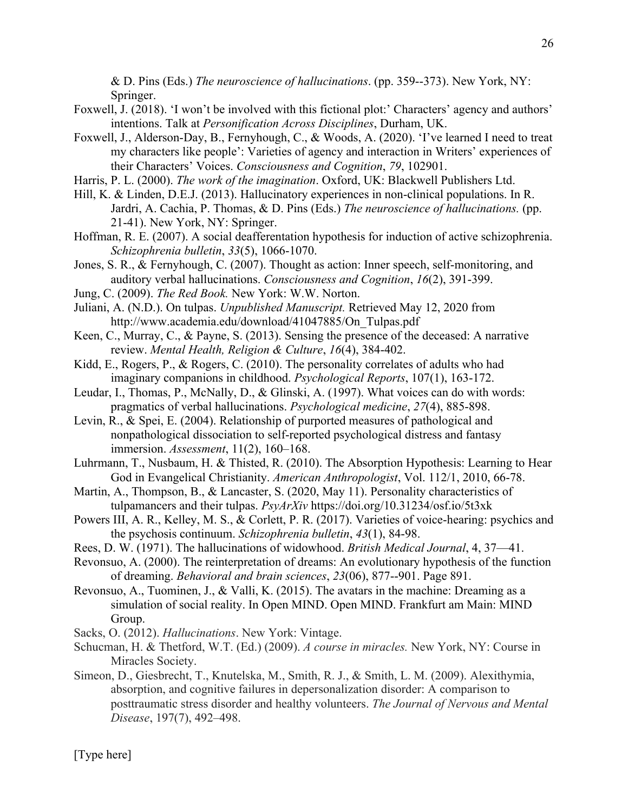& D. Pins (Eds.) *The neuroscience of hallucinations*. (pp. 359--373). New York, NY: Springer.

- Foxwell, J. (2018). 'I won't be involved with this fictional plot:' Characters' agency and authors' intentions. Talk at *Personification Across Disciplines*, Durham, UK.
- Foxwell, J., Alderson-Day, B., Fernyhough, C., & Woods, A. (2020). 'I've learned I need to treat my characters like people': Varieties of agency and interaction in Writers' experiences of their Characters' Voices. *Consciousness and Cognition*, *79*, 102901.
- Harris, P. L. (2000). *The work of the imagination*. Oxford, UK: Blackwell Publishers Ltd.
- Hill, K. & Linden, D.E.J. (2013). Hallucinatory experiences in non-clinical populations. In R. Jardri, A. Cachia, P. Thomas, & D. Pins (Eds.) *The neuroscience of hallucinations.* (pp. 21-41). New York, NY: Springer.
- Hoffman, R. E. (2007). A social deafferentation hypothesis for induction of active schizophrenia. *Schizophrenia bulletin*, *33*(5), 1066-1070.
- Jones, S. R., & Fernyhough, C. (2007). Thought as action: Inner speech, self-monitoring, and auditory verbal hallucinations. *Consciousness and Cognition*, *16*(2), 391-399.
- Jung, C. (2009). *The Red Book.* New York: W.W. Norton.
- Juliani, A. (N.D.). On tulpas. *Unpublished Manuscript.* Retrieved May 12, 2020 from http://www.academia.edu/download/41047885/On\_Tulpas.pdf
- Keen, C., Murray, C., & Payne, S. (2013). Sensing the presence of the deceased: A narrative review. *Mental Health, Religion & Culture*, *16*(4), 384-402.
- Kidd, E., Rogers, P., & Rogers, C. (2010). The personality correlates of adults who had imaginary companions in childhood. *Psychological Reports*, 107(1), 163-172.
- Leudar, I., Thomas, P., McNally, D., & Glinski, A. (1997). What voices can do with words: pragmatics of verbal hallucinations. *Psychological medicine*, *27*(4), 885-898.
- Levin, R., & Spei, E. (2004). Relationship of purported measures of pathological and nonpathological dissociation to self-reported psychological distress and fantasy immersion. *Assessment*, 11(2), 160–168.
- Luhrmann, T., Nusbaum, H. & Thisted, R. (2010). The Absorption Hypothesis: Learning to Hear God in Evangelical Christianity. *American Anthropologist*, Vol. 112/1, 2010, 66-78.
- Martin, A., Thompson, B., & Lancaster, S. (2020, May 11). Personality characteristics of tulpamancers and their tulpas. *PsyArXiv* https://doi.org/10.31234/osf.io/5t3xk
- Powers III, A. R., Kelley, M. S., & Corlett, P. R. (2017). Varieties of voice-hearing: psychics and the psychosis continuum. *Schizophrenia bulletin*, *43*(1), 84-98.
- Rees, D. W. (1971). The hallucinations of widowhood. *British Medical Journal*, 4, 37—41.
- Revonsuo, A. (2000). The reinterpretation of dreams: An evolutionary hypothesis of the function of dreaming. *Behavioral and brain sciences*, *23*(06), 877--901. Page 891.
- Revonsuo, A., Tuominen, J., & Valli, K. (2015). The avatars in the machine: Dreaming as a simulation of social reality. In Open MIND. Open MIND. Frankfurt am Main: MIND Group.
- Sacks, O. (2012). *Hallucinations*. New York: Vintage.
- Schucman, H. & Thetford, W.T. (Ed.) (2009). *A course in miracles.* New York, NY: Course in Miracles Society.
- Simeon, D., Giesbrecht, T., Knutelska, M., Smith, R. J., & Smith, L. M. (2009). Alexithymia, absorption, and cognitive failures in depersonalization disorder: A comparison to posttraumatic stress disorder and healthy volunteers. *The Journal of Nervous and Mental Disease*, 197(7), 492–498.

[Type here]